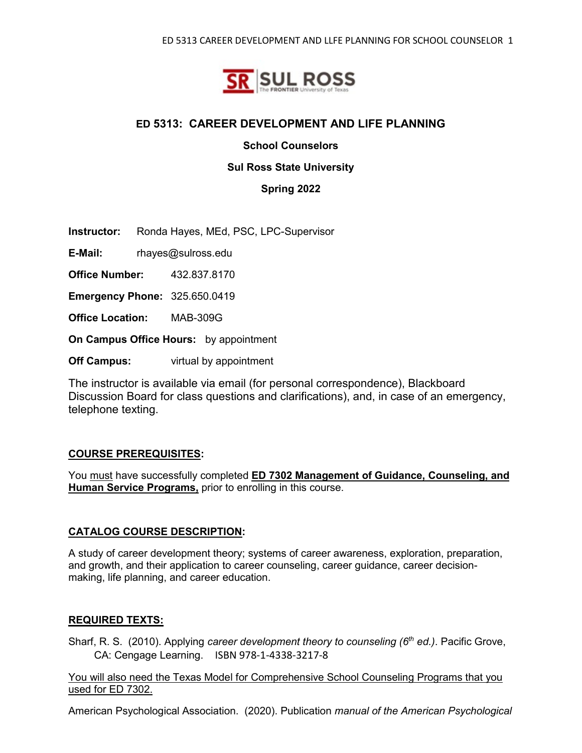

## **ED 5313: CAREER DEVELOPMENT AND LIFE PLANNING**

**School Counselors** 

#### **Sul Ross State University**

**Spring 2022**

**Instructor:** Ronda Hayes, MEd, PSC, LPC-Supervisor

**E-Mail:** rhayes@sulross.edu

**Office Number:** 432.837.8170

**Emergency Phone:** 325.650.0419

**Office Location:** MAB-309G

**On Campus Office Hours:** by appointment

**Off Campus:** virtual by appointment

The instructor is available via email (for personal correspondence), Blackboard Discussion Board for class questions and clarifications), and, in case of an emergency, telephone texting.

#### **COURSE PREREQUISITES:**

You must have successfully completed **ED 7302 Management of Guidance, Counseling, and Human Service Programs,** prior to enrolling in this course.

#### **CATALOG COURSE DESCRIPTION:**

A study of career development theory; systems of career awareness, exploration, preparation, and growth, and their application to career counseling, career guidance, career decisionmaking, life planning, and career education.

#### **REQUIRED TEXTS:**

Sharf, R. S. (2010). Applying *career development theory to counseling (6th ed.)*. Pacific Grove, CA: Cengage Learning. ISBN 978-1-4338-3217-8

You will also need the Texas Model for Comprehensive School Counseling Programs that you used for ED 7302.

American Psychological Association. (2020). Publication *manual of the American Psychological*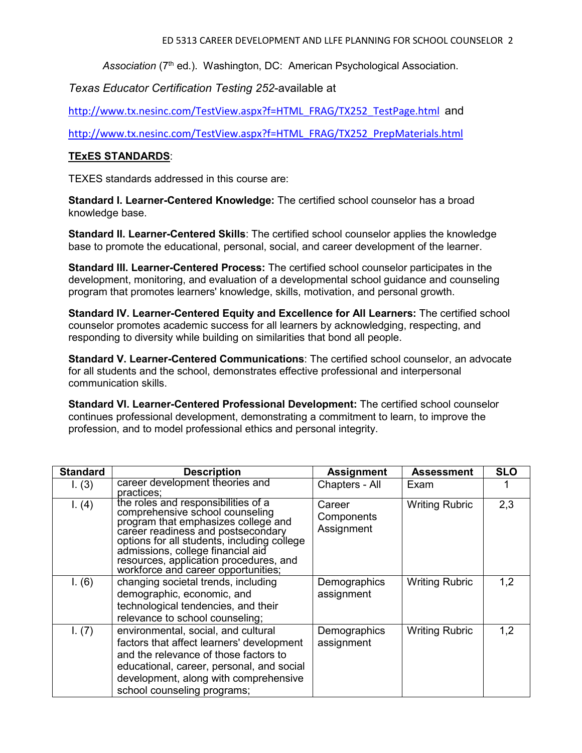Association (7<sup>th</sup> ed.). Washington, DC: American Psychological Association.

*Texas Educator Certification Testing 252*-available at

[http://www.tx.nesinc.com/TestView.aspx?f=HTML\\_FRAG/TX252\\_TestPage.html](http://www.tx.nesinc.com/TestView.aspx?f=HTML_FRAG/TX252_TestPage.html) and

[http://www.tx.nesinc.com/TestView.aspx?f=HTML\\_FRAG/TX252\\_PrepMaterials.html](http://www.tx.nesinc.com/TestView.aspx?f=HTML_FRAG/TX252_PrepMaterials.html)

## **TExES STANDARDS**:

TEXES standards addressed in this course are:

**Standard I. Learner-Centered Knowledge:** The certified school counselor has a broad knowledge base.

**Standard II. Learner-Centered Skills**: The certified school counselor applies the knowledge base to promote the educational, personal, social, and career development of the learner.

**Standard III. Learner-Centered Process:** The certified school counselor participates in the development, monitoring, and evaluation of a developmental school guidance and counseling program that promotes learners' knowledge, skills, motivation, and personal growth.

**Standard IV. Learner-Centered Equity and Excellence for All Learners:** The certified school counselor promotes academic success for all learners by acknowledging, respecting, and responding to diversity while building on similarities that bond all people.

**Standard V. Learner-Centered Communications**: The certified school counselor, an advocate for all students and the school, demonstrates effective professional and interpersonal communication skills.

**Standard VI. Learner-Centered Professional Development:** The certified school counselor continues professional development, demonstrating a commitment to learn, to improve the profession, and to model professional ethics and personal integrity.

| <b>Standard</b> | <b>Description</b>                                                                                                                                                                                                                                                                                                       | <b>Assignment</b>                  | <b>Assessment</b>     | <b>SLO</b> |
|-----------------|--------------------------------------------------------------------------------------------------------------------------------------------------------------------------------------------------------------------------------------------------------------------------------------------------------------------------|------------------------------------|-----------------------|------------|
| 1. (3)          | career development theories and<br>practices;                                                                                                                                                                                                                                                                            | Chapters - All                     | Exam                  |            |
| I. (4)          | the roles and responsibilities of a<br>comprehensive school counseling<br>program that emphasizes college and<br>career readiness and postsecondary<br>options for all students, including college<br>admissions, college financial aid<br>resources, application procedures, and<br>workforce and career opportunities; | Career<br>Components<br>Assignment | <b>Writing Rubric</b> | 2,3        |
| I. (6)          | changing societal trends, including<br>demographic, economic, and<br>technological tendencies, and their<br>relevance to school counseling;                                                                                                                                                                              | Demographics<br>assignment         | <b>Writing Rubric</b> | 1,2        |
| 1. (7)          | environmental, social, and cultural<br>factors that affect learners' development<br>and the relevance of those factors to<br>educational, career, personal, and social<br>development, along with comprehensive<br>school counseling programs;                                                                           | Demographics<br>assignment         | <b>Writing Rubric</b> | 1,2        |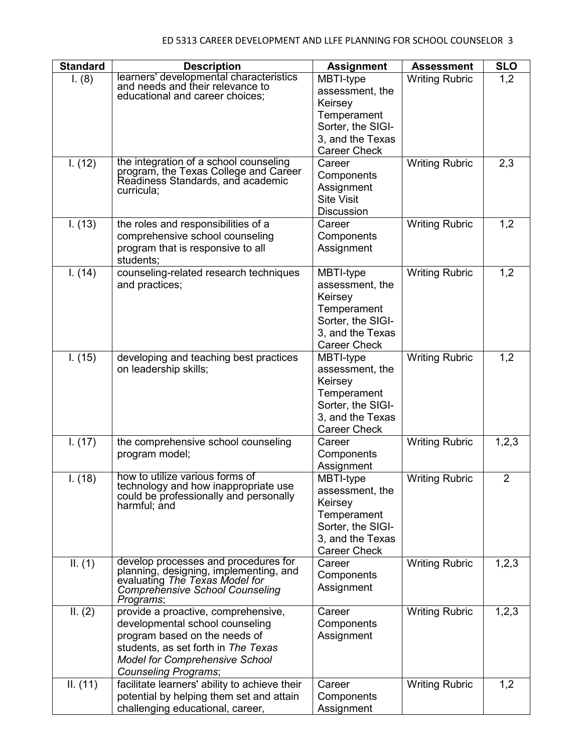| <b>Standard</b> | <b>Description</b>                                                          | <b>Assignment</b>                | <b>Assessment</b>     | <b>SLO</b>     |
|-----------------|-----------------------------------------------------------------------------|----------------------------------|-----------------------|----------------|
| I. (8)          | learners' developmental characteristics<br>and needs and their relevance to | MBTI-type                        | <b>Writing Rubric</b> | 1,2            |
|                 | educational and career choices;                                             | assessment, the                  |                       |                |
|                 |                                                                             | Keirsey                          |                       |                |
|                 |                                                                             | Temperament<br>Sorter, the SIGI- |                       |                |
|                 |                                                                             | 3, and the Texas                 |                       |                |
|                 |                                                                             | <b>Career Check</b>              |                       |                |
| 1. (12)         | the integration of a school counseling                                      | Career                           | <b>Writing Rubric</b> | 2,3            |
|                 | program, the Texas College and Career                                       | Components                       |                       |                |
|                 | Readiness Standards, and academic<br>curricula;                             | Assignment                       |                       |                |
|                 |                                                                             | <b>Site Visit</b>                |                       |                |
|                 |                                                                             | <b>Discussion</b>                |                       |                |
| I. (13)         | the roles and responsibilities of a                                         | Career                           | <b>Writing Rubric</b> | 1,2            |
|                 | comprehensive school counseling                                             | Components                       |                       |                |
|                 | program that is responsive to all                                           | Assignment                       |                       |                |
| 1. (14)         | students;<br>counseling-related research techniques                         | MBTI-type                        | <b>Writing Rubric</b> | 1,2            |
|                 | and practices;                                                              | assessment, the                  |                       |                |
|                 |                                                                             | Keirsey                          |                       |                |
|                 |                                                                             | Temperament                      |                       |                |
|                 |                                                                             | Sorter, the SIGI-                |                       |                |
|                 |                                                                             | 3, and the Texas                 |                       |                |
|                 |                                                                             | <b>Career Check</b>              |                       |                |
| I. (15)         | developing and teaching best practices                                      | MBTI-type                        | <b>Writing Rubric</b> | 1,2            |
|                 | on leadership skills;                                                       | assessment, the                  |                       |                |
|                 |                                                                             | Keirsey                          |                       |                |
|                 |                                                                             | Temperament<br>Sorter, the SIGI- |                       |                |
|                 |                                                                             | 3, and the Texas                 |                       |                |
|                 |                                                                             | <b>Career Check</b>              |                       |                |
| I. (17)         | the comprehensive school counseling                                         | Career                           | <b>Writing Rubric</b> | 1,2,3          |
|                 | program model;                                                              | Components                       |                       |                |
|                 |                                                                             | Assignment                       |                       |                |
| I. (18)         | how to utilize various forms of<br>technology and how inappropriate use     | MBTI-type                        | <b>Writing Rubric</b> | $\overline{2}$ |
|                 | could be professionally and personally                                      | assessment, the                  |                       |                |
|                 | harmful; and                                                                | Keirsey                          |                       |                |
|                 |                                                                             | Temperament<br>Sorter, the SIGI- |                       |                |
|                 |                                                                             | 3, and the Texas                 |                       |                |
|                 |                                                                             | <b>Career Check</b>              |                       |                |
| II. (1)         | develop processes and procedures for                                        | Career                           | <b>Writing Rubric</b> | 1,2,3          |
|                 | planning, designing, implementing, and<br>evaluating The Texas Model for    | Components                       |                       |                |
|                 | <b>Comprehensive School Counseling</b>                                      | Assignment                       |                       |                |
|                 | Programs;                                                                   |                                  |                       |                |
| II. (2)         | provide a proactive, comprehensive,                                         | Career                           | <b>Writing Rubric</b> | 1,2,3          |
|                 | developmental school counseling                                             | Components                       |                       |                |
|                 | program based on the needs of<br>students, as set forth in The Texas        | Assignment                       |                       |                |
|                 | <b>Model for Comprehensive School</b>                                       |                                  |                       |                |
|                 | Counseling Programs;                                                        |                                  |                       |                |
| II. (11)        | facilitate learners' ability to achieve their                               | Career                           | <b>Writing Rubric</b> | 1,2            |
|                 | potential by helping them set and attain                                    | Components                       |                       |                |
|                 | challenging educational, career,                                            | Assignment                       |                       |                |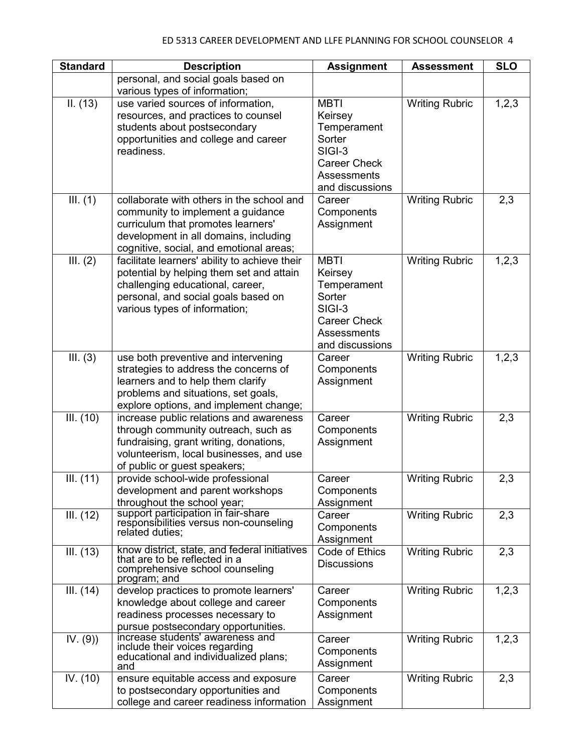| <b>Standard</b> | <b>Description</b>                                                                       | <b>Assignment</b>   | <b>Assessment</b>     | <b>SLO</b> |
|-----------------|------------------------------------------------------------------------------------------|---------------------|-----------------------|------------|
|                 | personal, and social goals based on                                                      |                     |                       |            |
|                 | various types of information;                                                            |                     |                       |            |
| II. (13)        | use varied sources of information,                                                       | <b>MBTI</b>         | <b>Writing Rubric</b> | 1, 2, 3    |
|                 | resources, and practices to counsel                                                      | Keirsey             |                       |            |
|                 | students about postsecondary                                                             | Temperament         |                       |            |
|                 | opportunities and college and career                                                     | Sorter              |                       |            |
|                 | readiness.                                                                               | $SIGI-3$            |                       |            |
|                 |                                                                                          | <b>Career Check</b> |                       |            |
|                 |                                                                                          | Assessments         |                       |            |
|                 |                                                                                          | and discussions     |                       |            |
| III. (1)        | collaborate with others in the school and                                                | Career              | <b>Writing Rubric</b> | 2,3        |
|                 | community to implement a guidance                                                        | Components          |                       |            |
|                 | curriculum that promotes learners'                                                       | Assignment          |                       |            |
|                 | development in all domains, including                                                    |                     |                       |            |
| III. (2)        | cognitive, social, and emotional areas;<br>facilitate learners' ability to achieve their | <b>MBTI</b>         | <b>Writing Rubric</b> | 1,2,3      |
|                 | potential by helping them set and attain                                                 | Keirsey             |                       |            |
|                 | challenging educational, career,                                                         | Temperament         |                       |            |
|                 | personal, and social goals based on                                                      | Sorter              |                       |            |
|                 | various types of information;                                                            | SIGI-3              |                       |            |
|                 |                                                                                          | <b>Career Check</b> |                       |            |
|                 |                                                                                          | Assessments         |                       |            |
|                 |                                                                                          | and discussions     |                       |            |
| III. (3)        | use both preventive and intervening                                                      | Career              | <b>Writing Rubric</b> | 1,2,3      |
|                 | strategies to address the concerns of                                                    | Components          |                       |            |
|                 | learners and to help them clarify                                                        | Assignment          |                       |            |
|                 | problems and situations, set goals,                                                      |                     |                       |            |
|                 | explore options, and implement change;                                                   |                     |                       |            |
| III. (10)       | increase public relations and awareness                                                  | Career              | <b>Writing Rubric</b> | 2,3        |
|                 | through community outreach, such as                                                      | Components          |                       |            |
|                 | fundraising, grant writing, donations,                                                   | Assignment          |                       |            |
|                 | volunteerism, local businesses, and use                                                  |                     |                       |            |
|                 | of public or guest speakers;                                                             |                     |                       |            |
| III. (11)       | provide school-wide professional                                                         | Career              | <b>Writing Rubric</b> | 2,3        |
|                 | development and parent workshops                                                         | Components          |                       |            |
|                 | throughout the school year;                                                              | Assignment          |                       |            |
| III. (12)       | support participation in fair-share<br>responsibilities versus non-counseling            | Career              | <b>Writing Rubric</b> | 2,3        |
|                 | related duties;                                                                          | Components          |                       |            |
|                 |                                                                                          | Assignment          |                       |            |
| III. (13)       | know district, state, and federal initiatives<br>that are to be reflected in a           | Code of Ethics      | <b>Writing Rubric</b> | 2,3        |
|                 | comprehensive school counseling                                                          | <b>Discussions</b>  |                       |            |
|                 | program; and                                                                             |                     |                       |            |
| III. (14)       | develop practices to promote learners'                                                   | Career              | <b>Writing Rubric</b> | 1,2,3      |
|                 | knowledge about college and career                                                       | Components          |                       |            |
|                 | readiness processes necessary to                                                         | Assignment          |                       |            |
|                 | pursue postsecondary opportunities.                                                      |                     |                       |            |
| IV. (9)         | increase students' awareness and<br>include their voices regarding                       | Career              | <b>Writing Rubric</b> | 1,2,3      |
|                 | educational and individualized plans;                                                    | Components          |                       |            |
|                 | and                                                                                      | Assignment          |                       |            |
| IV. (10)        | ensure equitable access and exposure                                                     | Career              | <b>Writing Rubric</b> | 2,3        |
|                 | to postsecondary opportunities and                                                       | Components          |                       |            |
|                 | college and career readiness information                                                 | Assignment          |                       |            |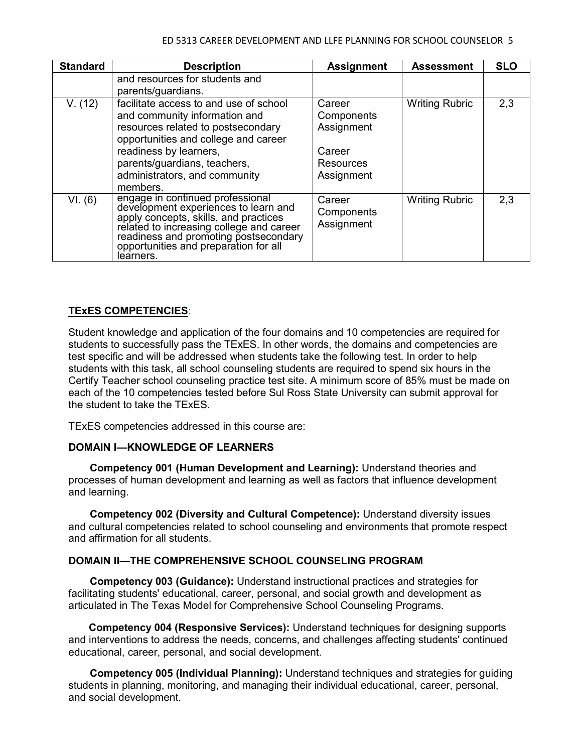#### ED 5313 CAREER DEVELOPMENT AND LLFE PLANNING FOR SCHOOL COUNSELOR 5

| <b>Standard</b> | <b>Description</b>                                                                                                                                                                                                                                           | <b>Assignment</b>                                                       | <b>Assessment</b>     | <b>SLO</b> |
|-----------------|--------------------------------------------------------------------------------------------------------------------------------------------------------------------------------------------------------------------------------------------------------------|-------------------------------------------------------------------------|-----------------------|------------|
|                 | and resources for students and<br>parents/guardians.                                                                                                                                                                                                         |                                                                         |                       |            |
| V. (12)         | facilitate access to and use of school<br>and community information and<br>resources related to postsecondary<br>opportunities and college and career<br>readiness by learners,<br>parents/guardians, teachers,<br>administrators, and community<br>members. | Career<br>Components<br>Assignment<br>Career<br>Resources<br>Assignment | <b>Writing Rubric</b> | 2,3        |
| VI. (6)         | engage in continued professional<br>development experiences to learn and<br>apply concepts, skills, and practices<br>related to increasing college and career<br>readiness and promoting postsecondary<br>opportunities and preparation for all<br>learners. | Career<br>Components<br>Assignment                                      | <b>Writing Rubric</b> | 2,3        |

### **TExES COMPETENCIES**:

Student knowledge and application of the four domains and 10 competencies are required for students to successfully pass the TExES. In other words, the domains and competencies are test specific and will be addressed when students take the following test. In order to help students with this task, all school counseling students are required to spend six hours in the Certify Teacher school counseling practice test site. A minimum score of 85% must be made on each of the 10 competencies tested before Sul Ross State University can submit approval for the student to take the TExES.

TExES competencies addressed in this course are:

### **DOMAIN I—KNOWLEDGE OF LEARNERS**

**Competency 001 (Human Development and Learning):** Understand theories and processes of human development and learning as well as factors that influence development and learning.

**Competency 002 (Diversity and Cultural Competence):** Understand diversity issues and cultural competencies related to school counseling and environments that promote respect and affirmation for all students.

### **DOMAIN II—THE COMPREHENSIVE SCHOOL COUNSELING PROGRAM**

**Competency 003 (Guidance):** Understand instructional practices and strategies for facilitating students' educational, career, personal, and social growth and development as articulated in The Texas Model for Comprehensive School Counseling Programs.

 **Competency 004 (Responsive Services):** Understand techniques for designing supports and interventions to address the needs, concerns, and challenges affecting students' continued educational, career, personal, and social development.

**Competency 005 (Individual Planning):** Understand techniques and strategies for guiding students in planning, monitoring, and managing their individual educational, career, personal, and social development.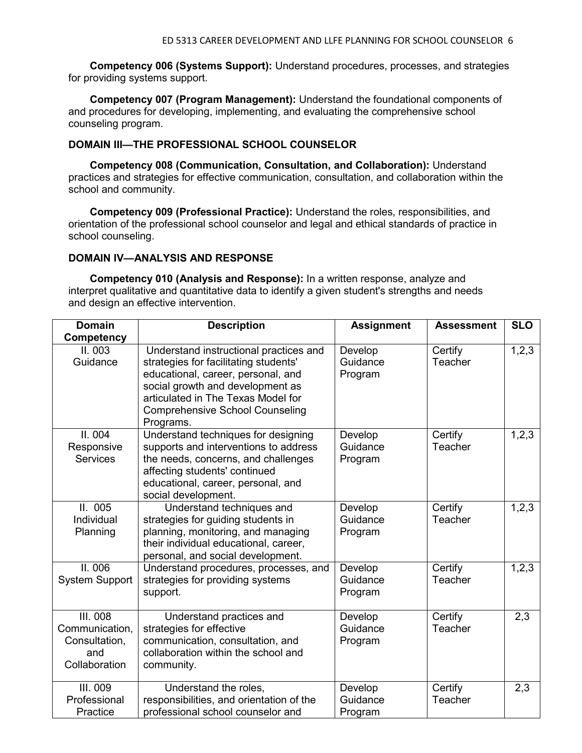**Competency 006 (Systems Support):** Understand procedures, processes, and strategies for providing systems support.

**Competency 007 (Program Management):** Understand the foundational components of and procedures for developing, implementing, and evaluating the comprehensive school counseling program.

### **DOMAIN III—THE PROFESSIONAL SCHOOL COUNSELOR**

**Competency 008 (Communication, Consultation, and Collaboration):** Understand practices and strategies for effective communication, consultation, and collaboration within the school and community.

**Competency 009 (Professional Practice):** Understand the roles, responsibilities, and orientation of the professional school counselor and legal and ethical standards of practice in school counseling.

#### **DOMAIN IV—ANALYSIS AND RESPONSE**

**Competency 010 (Analysis and Response):** In a written response, analyze and interpret qualitative and quantitative data to identify a given student's strengths and needs and design an effective intervention.

| <b>Domain</b>         | <b>Description</b>                       | <b>Assignment</b> | <b>Assessment</b> | <b>SLO</b> |
|-----------------------|------------------------------------------|-------------------|-------------------|------------|
| <b>Competency</b>     |                                          |                   |                   |            |
| II. 003               | Understand instructional practices and   | Develop           | Certify           | 1,2,3      |
| Guidance              | strategies for facilitating students'    | Guidance          | Teacher           |            |
|                       | educational, career, personal, and       | Program           |                   |            |
|                       | social growth and development as         |                   |                   |            |
|                       | articulated in The Texas Model for       |                   |                   |            |
|                       | <b>Comprehensive School Counseling</b>   |                   |                   |            |
|                       | Programs.                                |                   |                   |            |
| II. 004               | Understand techniques for designing      | Develop           | Certify           | 1, 2, 3    |
| Responsive            | supports and interventions to address    | Guidance          | Teacher           |            |
| <b>Services</b>       | the needs, concerns, and challenges      | Program           |                   |            |
|                       | affecting students' continued            |                   |                   |            |
|                       | educational, career, personal, and       |                   |                   |            |
|                       | social development.                      |                   |                   |            |
| II.005                | Understand techniques and                | Develop           | Certify           | 1,2,3      |
| Individual            | strategies for guiding students in       | Guidance          | Teacher           |            |
| Planning              | planning, monitoring, and managing       | Program           |                   |            |
|                       | their individual educational, career,    |                   |                   |            |
|                       | personal, and social development.        |                   |                   |            |
| II. 006               | Understand procedures, processes, and    | Develop           | Certify           | 1, 2, 3    |
| <b>System Support</b> | strategies for providing systems         | Guidance          | Teacher           |            |
|                       | support.                                 | Program           |                   |            |
|                       |                                          |                   |                   |            |
| <b>III. 008</b>       | Understand practices and                 | Develop           | Certify           | 2,3        |
| Communication,        | strategies for effective                 | Guidance          | Teacher           |            |
| Consultation,         | communication, consultation, and         | Program           |                   |            |
| and                   | collaboration within the school and      |                   |                   |            |
| Collaboration         | community.                               |                   |                   |            |
| <b>III. 009</b>       | Understand the roles,                    | Develop           | Certify           | 2,3        |
| Professional          | responsibilities, and orientation of the | Guidance          | Teacher           |            |
| Practice              | professional school counselor and        | Program           |                   |            |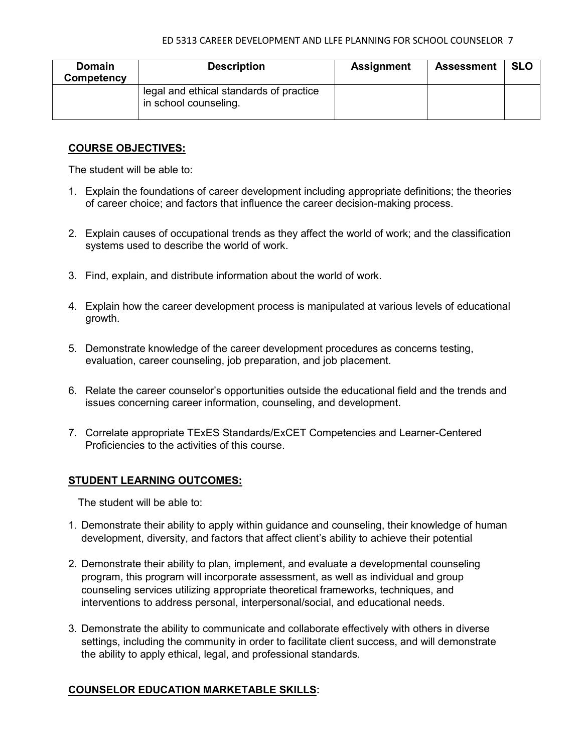#### ED 5313 CAREER DEVELOPMENT AND LLFE PLANNING FOR SCHOOL COUNSELOR 7

| <b>Domain</b><br>Competency | <b>Description</b>                                               | <b>Assignment</b> | <b>Assessment</b> | <b>SLO</b> |
|-----------------------------|------------------------------------------------------------------|-------------------|-------------------|------------|
|                             | legal and ethical standards of practice<br>in school counseling. |                   |                   |            |

### **COURSE OBJECTIVES:**

The student will be able to:

- 1. Explain the foundations of career development including appropriate definitions; the theories of career choice; and factors that influence the career decision-making process.
- 2. Explain causes of occupational trends as they affect the world of work; and the classification systems used to describe the world of work.
- 3. Find, explain, and distribute information about the world of work.
- 4. Explain how the career development process is manipulated at various levels of educational growth.
- 5. Demonstrate knowledge of the career development procedures as concerns testing, evaluation, career counseling, job preparation, and job placement.
- 6. Relate the career counselor's opportunities outside the educational field and the trends and issues concerning career information, counseling, and development.
- 7. Correlate appropriate TExES Standards/ExCET Competencies and Learner-Centered Proficiencies to the activities of this course.

### **STUDENT LEARNING OUTCOMES:**

The student will be able to:

- 1. Demonstrate their ability to apply within guidance and counseling, their knowledge of human development, diversity, and factors that affect client's ability to achieve their potential
- 2. Demonstrate their ability to plan, implement, and evaluate a developmental counseling program, this program will incorporate assessment, as well as individual and group counseling services utilizing appropriate theoretical frameworks, techniques, and interventions to address personal, interpersonal/social, and educational needs.
- 3. Demonstrate the ability to communicate and collaborate effectively with others in diverse settings, including the community in order to facilitate client success, and will demonstrate the ability to apply ethical, legal, and professional standards.

### **COUNSELOR EDUCATION MARKETABLE SKILLS:**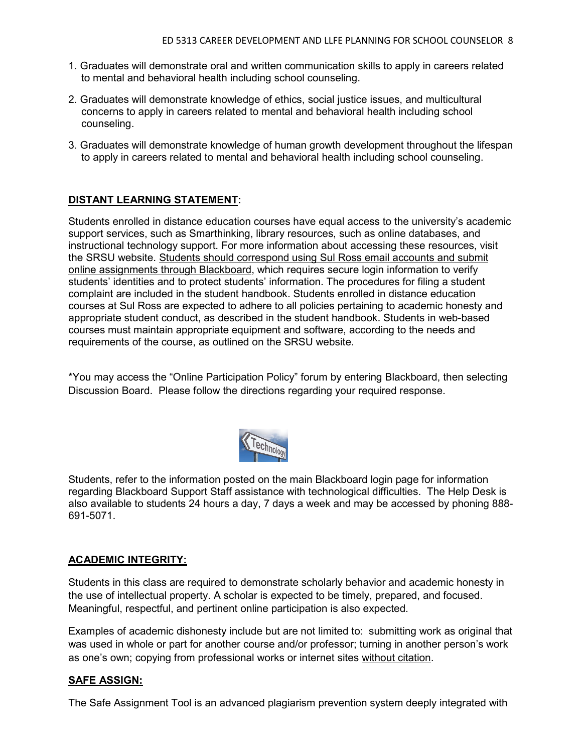- 1. Graduates will demonstrate oral and written communication skills to apply in careers related to mental and behavioral health including school counseling.
- 2. Graduates will demonstrate knowledge of ethics, social justice issues, and multicultural concerns to apply in careers related to mental and behavioral health including school counseling.
- 3. Graduates will demonstrate knowledge of human growth development throughout the lifespan to apply in careers related to mental and behavioral health including school counseling.

## **DISTANT LEARNING STATEMENT:**

Students enrolled in distance education courses have equal access to the university's academic support services, such as Smarthinking, library resources, such as online databases, and instructional technology support. For more information about accessing these resources, visit the SRSU website. Students should correspond using Sul Ross email accounts and submit online assignments through Blackboard, which requires secure login information to verify students' identities and to protect students' information. The procedures for filing a student complaint are included in the student handbook. Students enrolled in distance education courses at Sul Ross are expected to adhere to all policies pertaining to academic honesty and appropriate student conduct, as described in the student handbook. Students in web-based courses must maintain appropriate equipment and software, according to the needs and requirements of the course, as outlined on the SRSU website.

\*You may access the "Online Participation Policy" forum by entering Blackboard, then selecting Discussion Board. Please follow the directions regarding your required response.



Students, refer to the information posted on the main Blackboard login page for information regarding Blackboard Support Staff assistance with technological difficulties. The Help Desk is also available to students 24 hours a day, 7 days a week and may be accessed by phoning 888- 691-5071.

### **ACADEMIC INTEGRITY:**

Students in this class are required to demonstrate scholarly behavior and academic honesty in the use of intellectual property. A scholar is expected to be timely, prepared, and focused. Meaningful, respectful, and pertinent online participation is also expected.

Examples of academic dishonesty include but are not limited to: submitting work as original that was used in whole or part for another course and/or professor; turning in another person's work as one's own; copying from professional works or internet sites without citation.

### **SAFE ASSIGN:**

The Safe Assignment Tool is an advanced plagiarism prevention system deeply integrated with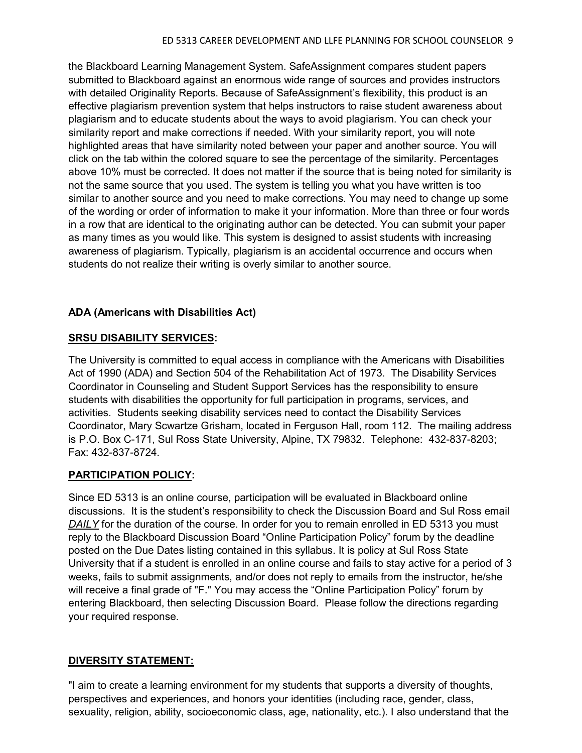the Blackboard Learning Management System. SafeAssignment compares student papers submitted to Blackboard against an enormous wide range of sources and provides instructors with detailed Originality Reports. Because of SafeAssignment's flexibility, this product is an effective plagiarism prevention system that helps instructors to raise student awareness about plagiarism and to educate students about the ways to avoid plagiarism. You can check your similarity report and make corrections if needed. With your similarity report, you will note highlighted areas that have similarity noted between your paper and another source. You will click on the tab within the colored square to see the percentage of the similarity. Percentages above 10% must be corrected. It does not matter if the source that is being noted for similarity is not the same source that you used. The system is telling you what you have written is too similar to another source and you need to make corrections. You may need to change up some of the wording or order of information to make it your information. More than three or four words in a row that are identical to the originating author can be detected. You can submit your paper as many times as you would like. This system is designed to assist students with increasing awareness of plagiarism. Typically, plagiarism is an accidental occurrence and occurs when students do not realize their writing is overly similar to another source.

## **ADA (Americans with Disabilities Act)**

### **SRSU DISABILITY SERVICES:**

The University is committed to equal access in compliance with the Americans with Disabilities Act of 1990 (ADA) and Section 504 of the Rehabilitation Act of 1973. The Disability Services Coordinator in Counseling and Student Support Services has the responsibility to ensure students with disabilities the opportunity for full participation in programs, services, and activities. Students seeking disability services need to contact the Disability Services Coordinator, Mary Scwartze Grisham, located in Ferguson Hall, room 112. The mailing address is P.O. Box C-171, Sul Ross State University, Alpine, TX 79832. Telephone: 432-837-8203; Fax: 432-837-8724.

### **PARTICIPATION POLICY:**

Since ED 5313 is an online course, participation will be evaluated in Blackboard online discussions. It is the student's responsibility to check the Discussion Board and Sul Ross email *DAILY* for the duration of the course. In order for you to remain enrolled in ED 5313 you must reply to the Blackboard Discussion Board "Online Participation Policy" forum by the deadline posted on the Due Dates listing contained in this syllabus. It is policy at Sul Ross State University that if a student is enrolled in an online course and fails to stay active for a period of 3 weeks, fails to submit assignments, and/or does not reply to emails from the instructor, he/she will receive a final grade of "F." You may access the "Online Participation Policy" forum by entering Blackboard, then selecting Discussion Board. Please follow the directions regarding your required response.

### **DIVERSITY STATEMENT:**

"I aim to create a learning environment for my students that supports a diversity of thoughts, perspectives and experiences, and honors your identities (including race, gender, class, sexuality, religion, ability, socioeconomic class, age, nationality, etc.). I also understand that the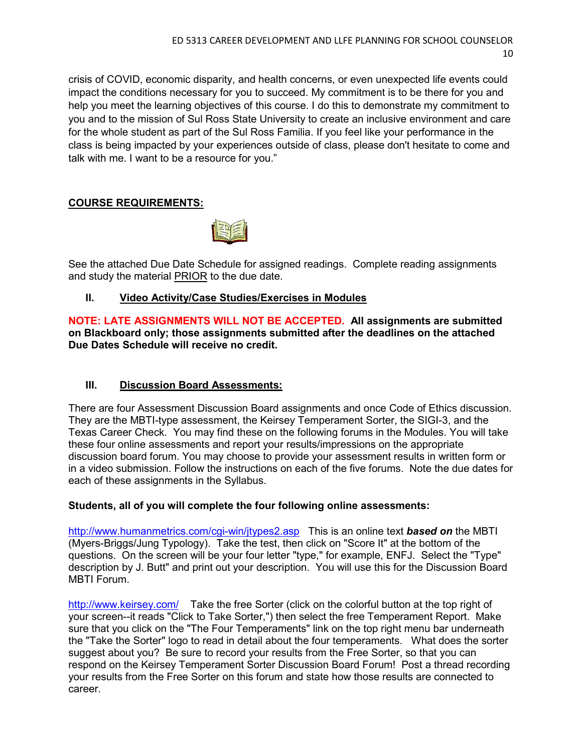crisis of COVID, economic disparity, and health concerns, or even unexpected life events could impact the conditions necessary for you to succeed. My commitment is to be there for you and help you meet the learning objectives of this course. I do this to demonstrate my commitment to you and to the mission of Sul Ross State University to create an inclusive environment and care for the whole student as part of the Sul Ross Familia. If you feel like your performance in the class is being impacted by your experiences outside of class, please don't hesitate to come and talk with me. I want to be a resource for you."

# **COURSE REQUIREMENTS:**



See the attached Due Date Schedule for assigned readings. Complete reading assignments and study the material PRIOR to the due date.

# **II. Video Activity/Case Studies/Exercises in Modules**

**NOTE: LATE ASSIGNMENTS WILL NOT BE ACCEPTED. All assignments are submitted on Blackboard only; those assignments submitted after the deadlines on the attached Due Dates Schedule will receive no credit.**

# **III. Discussion Board Assessments:**

There are four Assessment Discussion Board assignments and once Code of Ethics discussion. They are the MBTI-type assessment, the Keirsey Temperament Sorter, the SIGI-3, and the Texas Career Check. You may find these on the following forums in the Modules. You will take these four online assessments and report your results/impressions on the appropriate discussion board forum. You may choose to provide your assessment results in written form or in a video submission. Follow the instructions on each of the five forums. Note the due dates for each of these assignments in the Syllabus.

### **Students, all of you will complete the four following online assessments:**

[http://www.humanmetrics.com/cgi-win/jtypes2.asp](http://www.humanmetrics.com/cgi-win/JTypes2.asp) This is an online text *based on* the MBTI (Myers-Briggs/Jung Typology). Take the test, then click on "Score It" at the bottom of the questions. On the screen will be your four letter "type," for example, ENFJ. Select the "Type" description by J. Butt" and print out your description. You will use this for the Discussion Board MBTI Forum.

<http://www.keirsey.com/>Take the free Sorter (click on the colorful button at the top right of your screen--it reads "Click to Take Sorter,") then select the free Temperament Report. Make sure that you click on the "The Four Temperaments" link on the top right menu bar underneath the "Take the Sorter" logo to read in detail about the four temperaments. What does the sorter suggest about you? Be sure to record your results from the Free Sorter, so that you can respond on the Keirsey Temperament Sorter Discussion Board Forum! Post a thread recording your results from the Free Sorter on this forum and state how those results are connected to career.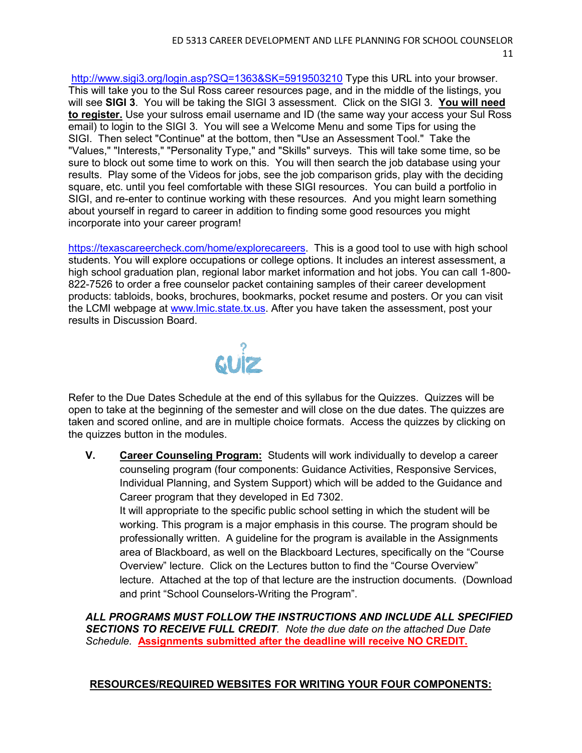<http://www.sigi3.org/login.asp?SQ=1363&SK=5919503210> Type this URL into your browser. This will take you to the Sul Ross career resources page, and in the middle of the listings, you will see **SIGI 3**. You will be taking the SIGI 3 assessment. Click on the SIGI 3. **You will need to register.** Use your sulross email username and ID (the same way your access your Sul Ross email) to login to the SIGI 3. You will see a Welcome Menu and some Tips for using the SIGI. Then select "Continue" at the bottom, then "Use an Assessment Tool." Take the "Values," "Interests," "Personality Type," and "Skills" surveys. This will take some time, so be sure to block out some time to work on this. You will then search the job database using your results. Play some of the Videos for jobs, see the job comparison grids, play with the deciding square, etc. until you feel comfortable with these SIGI resources. You can build a portfolio in SIGI, and re-enter to continue working with these resources. And you might learn something about yourself in regard to career in addition to finding some good resources you might incorporate into your career program!

[https://texascareercheck.com/home/explorecareers.](https://texascareercheck.com/home/explorecareers) This is a good tool to use with high school students. You will explore occupations or college options. It includes an interest assessment, a high school graduation plan, regional labor market information and hot jobs. You can call 1-800- 822-7526 to order a free counselor packet containing samples of their career development products: tabloids, books, brochures, bookmarks, pocket resume and posters. Or you can visit the LCMI webpage at [www.lmic.state.tx.us.](http://www.lmic.state.tx.us/) After you have taken the assessment, post your results in Discussion Board.



Refer to the Due Dates Schedule at the end of this syllabus for the Quizzes. Quizzes will be open to take at the beginning of the semester and will close on the due dates. The quizzes are taken and scored online, and are in multiple choice formats. Access the quizzes by clicking on the quizzes button in the modules.

**V. Career Counseling Program:** Students will work individually to develop a career counseling program (four components: Guidance Activities, Responsive Services, Individual Planning, and System Support) which will be added to the Guidance and Career program that they developed in Ed 7302. It will appropriate to the specific public school setting in which the student will be working. This program is a major emphasis in this course. The program should be professionally written. A guideline for the program is available in the Assignments

area of Blackboard, as well on the Blackboard Lectures, specifically on the "Course Overview" lecture. Click on the Lectures button to find the "Course Overview" lecture. Attached at the top of that lecture are the instruction documents. (Download and print "School Counselors-Writing the Program".

*ALL PROGRAMS MUST FOLLOW THE INSTRUCTIONS AND INCLUDE ALL SPECIFIED SECTIONS TO RECEIVE FULL CREDIT. Note the due date on the attached Due Date Schedule.* **Assignments submitted after the deadline will receive NO CREDIT.**

# **RESOURCES/REQUIRED WEBSITES FOR WRITING YOUR FOUR COMPONENTS:**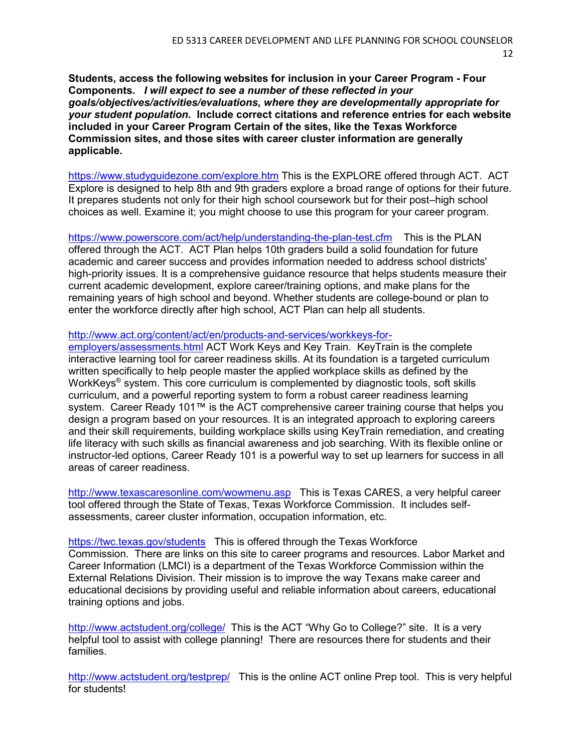**Students, access the following websites for inclusion in your Career Program - Four Components.** *I will expect to see a number of these reflected in your goals/objectives/activities/evaluations, where they are developmentally appropriate for your student population.* **Include correct citations and reference entries for each website included in your Career Program Certain of the sites, like the Texas Workforce Commission sites, and those sites with career cluster information are generally applicable.** 

<https://www.studyguidezone.com/explore.htm> This is the EXPLORE offered through ACT. ACT Explore is designed to help 8th and 9th graders explore a broad range of options for their future. It prepares students not only for their high school coursework but for their post–high school choices as well. Examine it; you might choose to use this program for your career program.

<https://www.powerscore.com/act/help/understanding-the-plan-test.cfm> This is the PLAN offered through the ACT. ACT Plan helps 10th graders build a solid foundation for future academic and career success and provides information needed to address school districts' high-priority issues. It is a comprehensive guidance resource that helps students measure their current academic development, explore career/training options, and make plans for the remaining years of high school and beyond. Whether students are college-bound or plan to enter the workforce directly after high school, ACT Plan can help all students.

#### [http://www.act.org/content/act/en/products-and-services/workkeys-for-](http://www.act.org/content/act/en/products-and-services/workkeys-for-employers/assessments.html)

[employers/assessments.html](http://www.act.org/content/act/en/products-and-services/workkeys-for-employers/assessments.html) ACT Work Keys and Key Train. KeyTrain is the complete interactive learning tool for career readiness skills. At its foundation is a targeted curriculum written specifically to help people master the applied workplace skills as defined by the WorkKeys<sup>®</sup> system. This core curriculum is complemented by diagnostic tools, soft skills curriculum, and a powerful reporting system to form a robust career readiness learning system. Career Ready 101™ is the ACT comprehensive career training course that helps you design a program based on your resources. It is an integrated approach to exploring careers and their skill requirements, building workplace skills using KeyTrain remediation, and creating life literacy with such skills as financial awareness and job searching. With its flexible online or instructor-led options, Career Ready 101 is a powerful way to set up learners for success in all areas of career readiness.

<http://www.texascaresonline.com/wowmenu.asp> This is Texas CARES, a very helpful career tool offered through the State of Texas, Texas Workforce Commission. It includes selfassessments, career cluster information, occupation information, etc.

<https://twc.texas.gov/students>This is offered through the Texas Workforce Commission. There are links on this site to career programs and resources. Labor Market and Career Information (LMCI) is a department of the Texas Workforce Commission within the External Relations Division. Their mission is to improve the way Texans make career and educational decisions by providing useful and reliable information about careers, educational training options and jobs.

<http://www.actstudent.org/college/>This is the ACT "Why Go to College?" site. It is a very helpful tool to assist with college planning! There are resources there for students and their families.

<http://www.actstudent.org/testprep/> This is the online ACT online Prep tool. This is very helpful for students!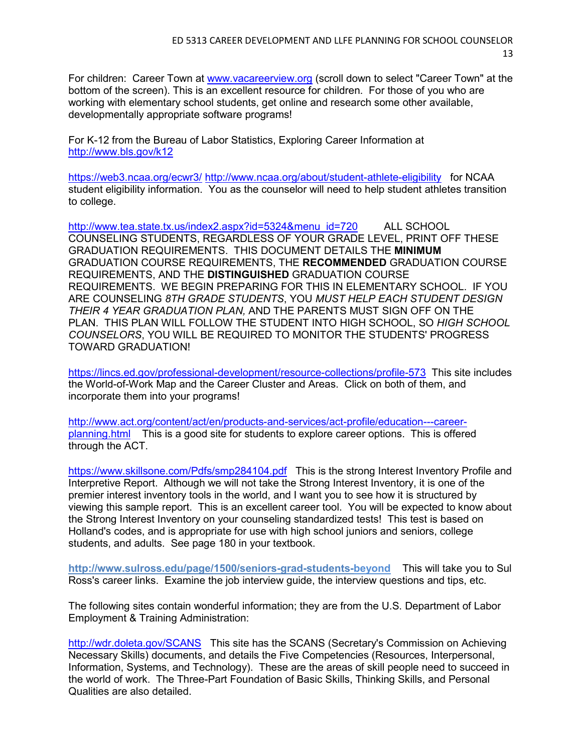For children: Career Town at [www.vacareerview.org](http://www.vacareerview.org/) (scroll down to select "Career Town" at the bottom of the screen). This is an excellent resource for children. For those of you who are working with elementary school students, get online and research some other available, developmentally appropriate software programs!

For K-12 from the Bureau of Labor Statistics, Exploring Career Information at <http://www.bls.gov/k12>

<https://web3.ncaa.org/ecwr3/> <http://www.ncaa.org/about/student-athlete-eligibility>for NCAA student eligibility information. You as the counselor will need to help student athletes transition to college.

[http://www.tea.state.tx.us/index2.aspx?id=5324&menu\\_id=720](http://www.tea.state.tx.us/index2.aspx?id=5324&menu_id=720) ALL SCHOOL COUNSELING STUDENTS, REGARDLESS OF YOUR GRADE LEVEL, PRINT OFF THESE GRADUATION REQUIREMENTS. THIS DOCUMENT DETAILS THE **MINIMUM** GRADUATION COURSE REQUIREMENTS, THE **RECOMMENDED** GRADUATION COURSE REQUIREMENTS, AND THE **DISTINGUISHED** GRADUATION COURSE REQUIREMENTS. WE BEGIN PREPARING FOR THIS IN ELEMENTARY SCHOOL. IF YOU ARE COUNSELING *8TH GRADE STUDENTS*, YOU *MUST HELP EACH STUDENT DESIGN THEIR 4 YEAR GRADUATION PLAN,* AND THE PARENTS MUST SIGN OFF ON THE PLAN. THIS PLAN WILL FOLLOW THE STUDENT INTO HIGH SCHOOL, SO *HIGH SCHOOL COUNSELORS*, YOU WILL BE REQUIRED TO MONITOR THE STUDENTS' PROGRESS TOWARD GRADUATION!

<https://lincs.ed.gov/professional-development/resource-collections/profile-573> This site includes the World-of-Work Map and the Career Cluster and Areas. Click on both of them, and incorporate them into your programs!

[http://www.act.org/content/act/en/products-and-services/act-profile/education---career](http://www.act.org/content/act/en/products-and-services/act-profile/education---career-planning.html)[planning.html](http://www.act.org/content/act/en/products-and-services/act-profile/education---career-planning.html) This is a good site for students to explore career options. This is offered through the ACT.

<https://www.skillsone.com/Pdfs/smp284104.pdf>This is the strong Interest Inventory Profile and Interpretive Report. Although we will not take the Strong Interest Inventory, it is one of the premier interest inventory tools in the world, and I want you to see how it is structured by viewing this sample report. This is an excellent career tool. You will be expected to know about the Strong Interest Inventory on your counseling standardized tests! This test is based on Holland's codes, and is appropriate for use with high school juniors and seniors, college students, and adults. See page 180 in your textbook.

**http://www.sulross.edu/page/1500/seniors-grad-students-beyond** This will take you to Sul Ross's career links. Examine the job interview guide, the interview questions and tips, etc.

The following sites contain wonderful information; they are from the U.S. Department of Labor Employment & Training Administration:

<http://wdr.doleta.gov/SCANS> This site has the SCANS (Secretary's Commission on Achieving Necessary Skills) documents, and details the Five Competencies (Resources, Interpersonal, Information, Systems, and Technology). These are the areas of skill people need to succeed in the world of work. The Three-Part Foundation of Basic Skills, Thinking Skills, and Personal Qualities are also detailed.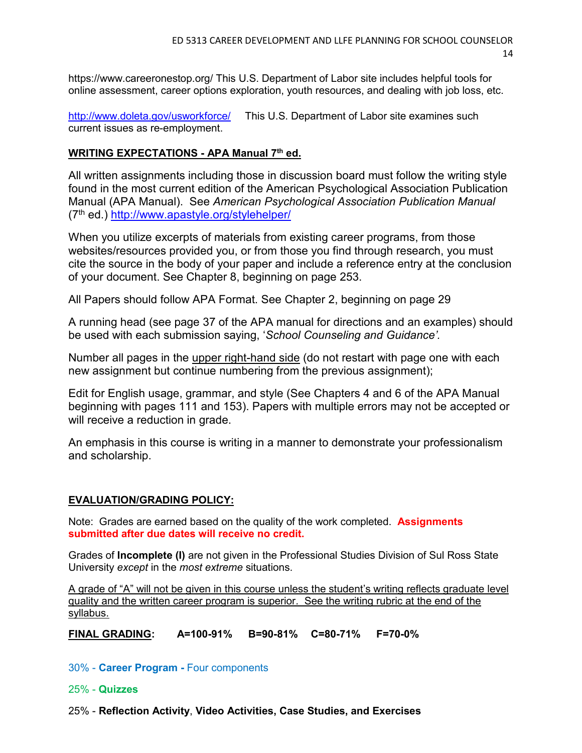https://www.careeronestop.org/ This U.S. Department of Labor site includes helpful tools for online assessment, career options exploration, youth resources, and dealing with job loss, etc.

<http://www.doleta.gov/usworkforce/> This U.S. Department of Labor site examines such current issues as re-employment.

## **WRITING EXPECTATIONS - APA Manual 7th ed.**

All written assignments including those in discussion board must follow the writing style found in the most current edition of the American Psychological Association Publication Manual (APA Manual). See *American Psychological Association Publication Manual* (7th ed.)<http://www.apastyle.org/stylehelper/>

When you utilize excerpts of materials from existing career programs, from those websites/resources provided you, or from those you find through research, you must cite the source in the body of your paper and include a reference entry at the conclusion of your document. See Chapter 8, beginning on page 253.

All Papers should follow APA Format. See Chapter 2, beginning on page 29

A running head (see page 37 of the APA manual for directions and an examples) should be used with each submission saying, '*School Counseling and Guidance'.*

Number all pages in the upper right-hand side (do not restart with page one with each new assignment but continue numbering from the previous assignment);

Edit for English usage, grammar, and style (See Chapters 4 and 6 of the APA Manual beginning with pages 111 and 153). Papers with multiple errors may not be accepted or will receive a reduction in grade.

An emphasis in this course is writing in a manner to demonstrate your professionalism and scholarship.

### **EVALUATION/GRADING POLICY:**

Note: Grades are earned based on the quality of the work completed. **Assignments submitted after due dates will receive no credit.**

Grades of **Incomplete (I)** are not given in the Professional Studies Division of Sul Ross State University *except* in the *most extreme* situations.

A grade of "A" will not be given in this course unless the student's writing reflects graduate level quality and the written career program is superior. See the writing rubric at the end of the syllabus.

**FINAL GRADING: A=100-91% B=90-81% C=80-71% F=70-0%**

30% - **Career Program -** Four components

#### 25% - **Quizzes**

25% - **Reflection Activity**, **Video Activities, Case Studies, and Exercises**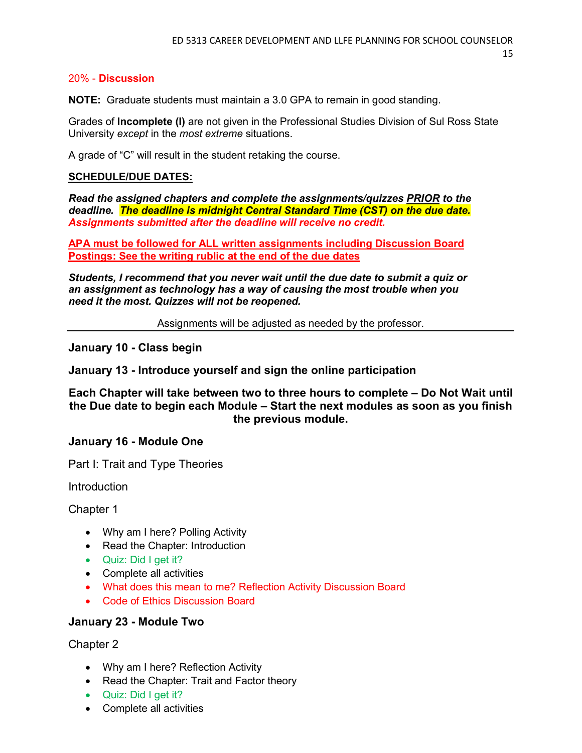### 20% - **Discussion**

**NOTE:** Graduate students must maintain a 3.0 GPA to remain in good standing.

Grades of **Incomplete (I)** are not given in the Professional Studies Division of Sul Ross State University *except* in the *most extreme* situations.

A grade of "C" will result in the student retaking the course.

#### **SCHEDULE/DUE DATES:**

*Read the assigned chapters and complete the assignments/quizzes PRIOR to the deadline. The deadline is midnight Central Standard Time (CST) on the due date. Assignments submitted after the deadline will receive no credit.*

**APA must be followed for ALL written assignments including Discussion Board Postings: See the writing rublic at the end of the due dates**

*Students, I recommend that you never wait until the due date to submit a quiz or an assignment as technology has a way of causing the most trouble when you need it the most. Quizzes will not be reopened.*

Assignments will be adjusted as needed by the professor.

**January 10 - Class begin**

**January 13 - Introduce yourself and sign the online participation** 

**Each Chapter will take between two to three hours to complete – Do Not Wait until the Due date to begin each Module – Start the next modules as soon as you finish the previous module.**

### **January 16 - Module One**

Part I: Trait and Type Theories

Introduction

Chapter 1

- Why am I here? Polling Activity
- Read the Chapter: Introduction
- Quiz: Did I get it?
- Complete all activities
- What does this mean to me? Reflection Activity Discussion Board
- Code of Ethics Discussion Board

### **January 23 - Module Two**

Chapter 2

- Why am I here? Reflection Activity
- Read the Chapter: Trait and Factor theory
- Quiz: Did I get it?
- Complete all activities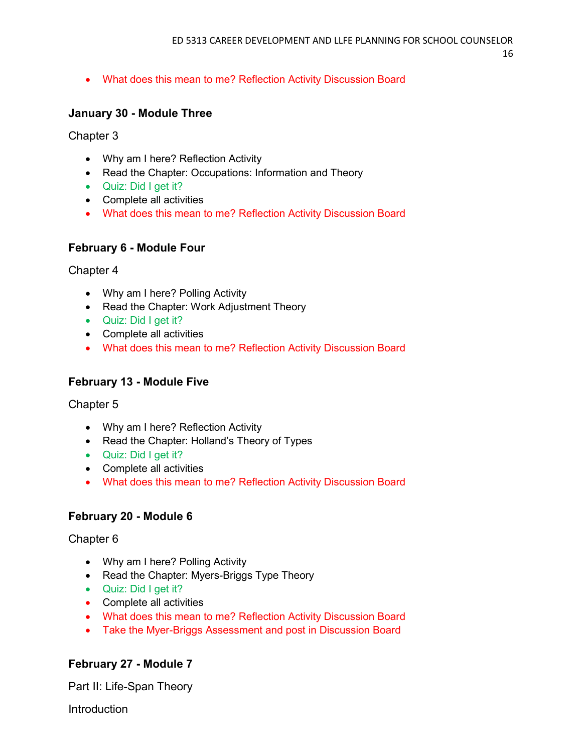• What does this mean to me? Reflection Activity Discussion Board

# **January 30 - Module Three**

Chapter 3

- Why am I here? Reflection Activity
- Read the Chapter: Occupations: Information and Theory
- Quiz: Did I get it?
- Complete all activities
- What does this mean to me? Reflection Activity Discussion Board

# **February 6 - Module Four**

Chapter 4

- Why am I here? Polling Activity
- Read the Chapter: Work Adjustment Theory
- Quiz: Did I get it?
- Complete all activities
- What does this mean to me? Reflection Activity Discussion Board

# **February 13 - Module Five**

Chapter 5

- Why am I here? Reflection Activity
- Read the Chapter: Holland's Theory of Types
- Quiz: Did I get it?
- Complete all activities
- What does this mean to me? Reflection Activity Discussion Board

# **February 20 - Module 6**

Chapter 6

- Why am I here? Polling Activity
- Read the Chapter: Myers-Briggs Type Theory
- Quiz: Did I get it?
- Complete all activities
- What does this mean to me? Reflection Activity Discussion Board
- Take the Myer-Briggs Assessment and post in Discussion Board

# **February 27 - Module 7**

Part II: Life-Span Theory

Introduction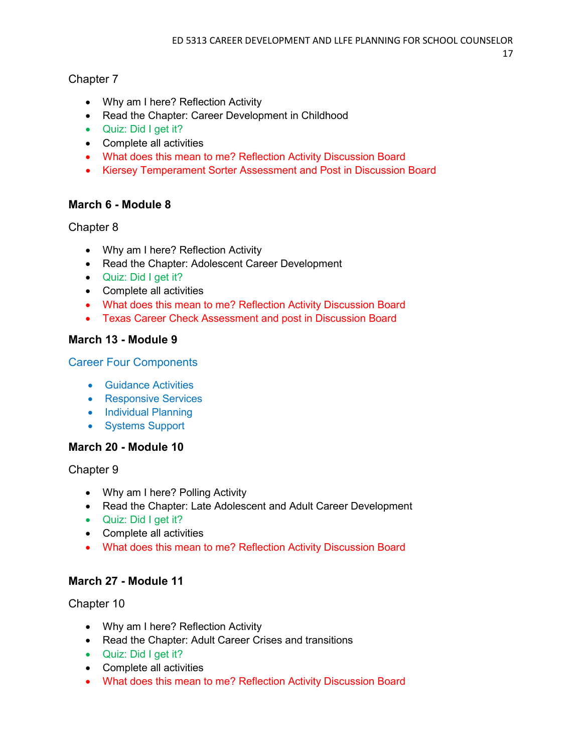# Chapter 7

- Why am I here? Reflection Activity
- Read the Chapter: Career Development in Childhood
- Quiz: Did I get it?
- Complete all activities
- What does this mean to me? Reflection Activity Discussion Board
- Kiersey Temperament Sorter Assessment and Post in Discussion Board

# **March 6 - Module 8**

# Chapter 8

- Why am I here? Reflection Activity
- Read the Chapter: Adolescent Career Development
- Quiz: Did I get it?
- Complete all activities
- What does this mean to me? Reflection Activity Discussion Board
- Texas Career Check Assessment and post in Discussion Board

# **March 13 - Module 9**

# Career Four Components

- Guidance Activities
- Responsive Services
- Individual Planning
- Systems Support

# **March 20 - Module 10**

Chapter 9

- Why am I here? Polling Activity
- Read the Chapter: Late Adolescent and Adult Career Development
- Quiz: Did I get it?
- Complete all activities
- What does this mean to me? Reflection Activity Discussion Board

# **March 27 - Module 11**

Chapter 10

- Why am I here? Reflection Activity
- Read the Chapter: Adult Career Crises and transitions
- Quiz: Did I get it?
- Complete all activities
- What does this mean to me? Reflection Activity Discussion Board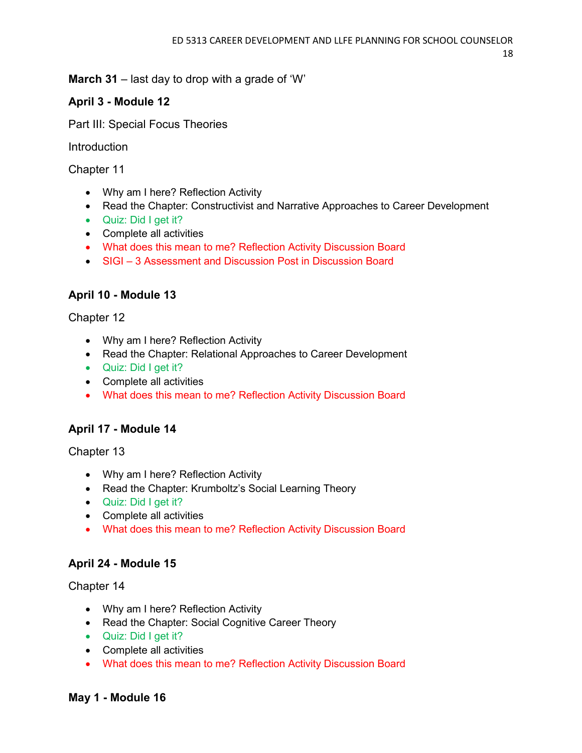**March 31** – last day to drop with a grade of 'W'

# **April 3 - Module 12**

Part III: Special Focus Theories

Introduction

Chapter 11

- Why am I here? Reflection Activity
- Read the Chapter: Constructivist and Narrative Approaches to Career Development
- Quiz: Did I get it?
- Complete all activities
- What does this mean to me? Reflection Activity Discussion Board
- SIGI 3 Assessment and Discussion Post in Discussion Board

# **April 10 - Module 13**

Chapter 12

- Why am I here? Reflection Activity
- Read the Chapter: Relational Approaches to Career Development
- Quiz: Did I get it?
- Complete all activities
- What does this mean to me? Reflection Activity Discussion Board

# **April 17 - Module 14**

Chapter 13

- Why am I here? Reflection Activity
- Read the Chapter: Krumboltz's Social Learning Theory
- Quiz: Did I get it?
- Complete all activities
- What does this mean to me? Reflection Activity Discussion Board

# **April 24 - Module 15**

Chapter 14

- Why am I here? Reflection Activity
- Read the Chapter: Social Cognitive Career Theory
- Quiz: Did I get it?
- Complete all activities
- What does this mean to me? Reflection Activity Discussion Board

# **May 1 - Module 16**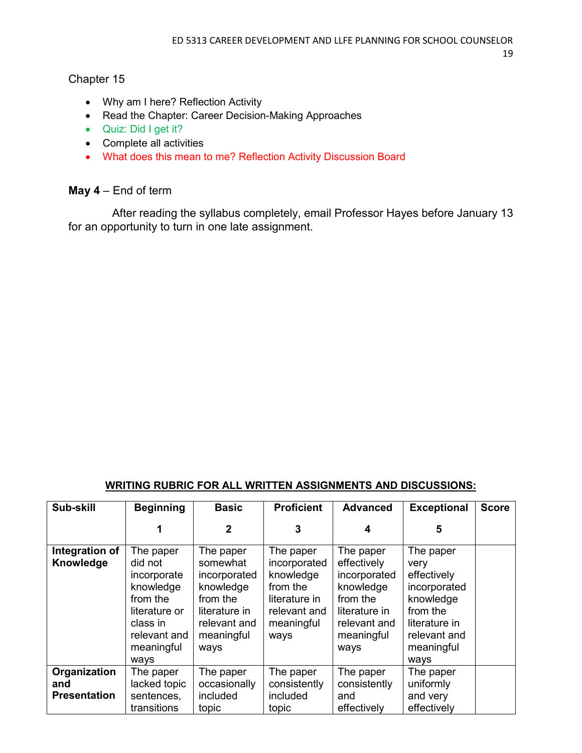# Chapter 15

- Why am I here? Reflection Activity
- Read the Chapter: Career Decision-Making Approaches
- Quiz: Did I get it?
- Complete all activities
- What does this mean to me? Reflection Activity Discussion Board

# **May 4** – End of term

 After reading the syllabus completely, email Professor Hayes before January 13 for an opportunity to turn in one late assignment.

# **WRITING RUBRIC FOR ALL WRITTEN ASSIGNMENTS AND DISCUSSIONS:**

| Sub-skill                   | <b>Beginning</b>                                                                                                                | <b>Basic</b>                                                                                                          | <b>Proficient</b>                                                                                         | <b>Advanced</b>                                                                                                          | <b>Exceptional</b>                                                                                                               | <b>Score</b> |
|-----------------------------|---------------------------------------------------------------------------------------------------------------------------------|-----------------------------------------------------------------------------------------------------------------------|-----------------------------------------------------------------------------------------------------------|--------------------------------------------------------------------------------------------------------------------------|----------------------------------------------------------------------------------------------------------------------------------|--------------|
|                             |                                                                                                                                 | 2                                                                                                                     | 3                                                                                                         | 4                                                                                                                        | 5                                                                                                                                |              |
| Integration of<br>Knowledge | The paper<br>did not<br>incorporate<br>knowledge<br>from the<br>literature or<br>class in<br>relevant and<br>meaningful<br>ways | The paper<br>somewhat<br>incorporated<br>knowledge<br>from the<br>literature in<br>relevant and<br>meaningful<br>ways | The paper<br>incorporated<br>knowledge<br>from the<br>literature in<br>relevant and<br>meaningful<br>ways | The paper<br>effectively<br>incorporated<br>knowledge<br>from the<br>literature in<br>relevant and<br>meaningful<br>ways | The paper<br>very<br>effectively<br>incorporated<br>knowledge<br>from the<br>literature in<br>relevant and<br>meaningful<br>ways |              |
| Organization<br>and         | The paper<br>lacked topic                                                                                                       | The paper<br>occasionally                                                                                             | The paper<br>consistently                                                                                 | The paper<br>consistently                                                                                                | The paper<br>uniformly                                                                                                           |              |
| <b>Presentation</b>         | sentences,<br>transitions                                                                                                       | included<br>topic                                                                                                     | included<br>topic                                                                                         | and<br>effectively                                                                                                       | and very<br>effectively                                                                                                          |              |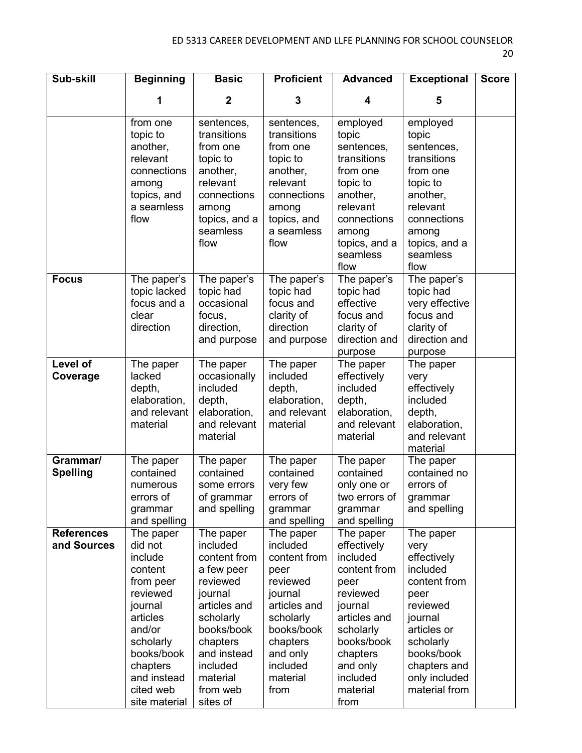| Sub-skill                        | <b>Beginning</b>                                                                                                                                                                         | <b>Basic</b>                                                                                                                                                                                     | <b>Proficient</b>                                                                                                                                                       | <b>Advanced</b>                                                                                                                                                                        | <b>Exceptional</b>                                                                                                                                                                      | <b>Score</b> |
|----------------------------------|------------------------------------------------------------------------------------------------------------------------------------------------------------------------------------------|--------------------------------------------------------------------------------------------------------------------------------------------------------------------------------------------------|-------------------------------------------------------------------------------------------------------------------------------------------------------------------------|----------------------------------------------------------------------------------------------------------------------------------------------------------------------------------------|-----------------------------------------------------------------------------------------------------------------------------------------------------------------------------------------|--------------|
|                                  | 1                                                                                                                                                                                        | $\mathbf 2$                                                                                                                                                                                      | 3                                                                                                                                                                       | 4                                                                                                                                                                                      | 5                                                                                                                                                                                       |              |
|                                  | from one<br>topic to<br>another,<br>relevant<br>connections<br>among<br>topics, and<br>a seamless<br>flow                                                                                | sentences,<br>transitions<br>from one<br>topic to<br>another,<br>relevant<br>connections<br>among<br>topics, and a<br>seamless<br>flow                                                           | sentences,<br>transitions<br>from one<br>topic to<br>another,<br>relevant<br>connections<br>among<br>topics, and<br>a seamless<br>flow                                  | employed<br>topic<br>sentences,<br>transitions<br>from one<br>topic to<br>another,<br>relevant<br>connections<br>among<br>topics, and a<br>seamless<br>flow                            | employed<br>topic<br>sentences,<br>transitions<br>from one<br>topic to<br>another,<br>relevant<br>connections<br>among<br>topics, and a<br>seamless<br>flow                             |              |
| <b>Focus</b>                     | The paper's<br>topic lacked<br>focus and a<br>clear<br>direction                                                                                                                         | The paper's<br>topic had<br>occasional<br>focus,<br>direction,<br>and purpose                                                                                                                    | The paper's<br>topic had<br>focus and<br>clarity of<br>direction<br>and purpose                                                                                         | The paper's<br>topic had<br>effective<br>focus and<br>clarity of<br>direction and<br>purpose                                                                                           | The paper's<br>topic had<br>very effective<br>focus and<br>clarity of<br>direction and<br>purpose                                                                                       |              |
| Level of<br>Coverage             | The paper<br>lacked<br>depth,<br>elaboration,<br>and relevant<br>material                                                                                                                | The paper<br>occasionally<br>included<br>depth,<br>elaboration,<br>and relevant<br>material                                                                                                      | The paper<br>included<br>depth,<br>elaboration,<br>and relevant<br>material                                                                                             | The paper<br>effectively<br>included<br>depth,<br>elaboration,<br>and relevant<br>material                                                                                             | The paper<br>very<br>effectively<br>included<br>depth,<br>elaboration,<br>and relevant<br>material                                                                                      |              |
| Grammar/<br><b>Spelling</b>      | The paper<br>contained<br>numerous<br>errors of<br>grammar<br>and spelling                                                                                                               | The paper<br>contained<br>some errors<br>of grammar<br>and spelling                                                                                                                              | The paper<br>contained<br>very few<br>errors of<br>grammar<br>and spelling                                                                                              | The paper<br>contained<br>only one or<br>two errors of<br>grammar<br>and spelling                                                                                                      | The paper<br>contained no<br>errors of<br>grammar<br>and spelling                                                                                                                       |              |
| <b>References</b><br>and Sources | The paper<br>did not<br>include<br>content<br>from peer<br>reviewed<br>journal<br>articles<br>and/or<br>scholarly<br>books/book<br>chapters<br>and instead<br>cited web<br>site material | The paper<br>included<br>content from<br>a few peer<br>reviewed<br>journal<br>articles and<br>scholarly<br>books/book<br>chapters<br>and instead<br>included<br>material<br>from web<br>sites of | The paper<br>included<br>content from<br>peer<br>reviewed<br>journal<br>articles and<br>scholarly<br>books/book<br>chapters<br>and only<br>included<br>material<br>from | The paper<br>effectively<br>included<br>content from<br>peer<br>reviewed<br>journal<br>articles and<br>scholarly<br>books/book<br>chapters<br>and only<br>included<br>material<br>from | The paper<br>very<br>effectively<br>included<br>content from<br>peer<br>reviewed<br>journal<br>articles or<br>scholarly<br>books/book<br>chapters and<br>only included<br>material from |              |